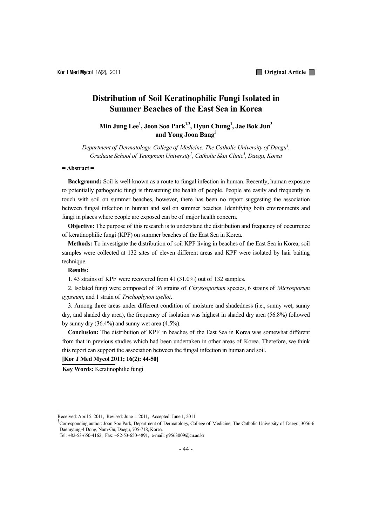# **Distribution of Soil Keratinophilic Fungi Isolated in Summer Beaches of the East Sea in Korea**

# **Min Jung Lee1 , Joon Soo Park1,2, Hyun Chung1 , Jae Bok Jun3 and Yong Joon Bang3**

Department of Dermatology, College of Medicine, The Catholic University of Daegu<sup>1</sup>, *Graduate School of Yeungnam University2 , Catholic Skin Clinic3 , Daegu, Korea* 

### **= Abstract =**

**Background:** Soil is well-known as a route to fungal infection in human. Recently, human exposure to potentially pathogenic fungi is threatening the health of people. People are easily and frequently in touch with soil on summer beaches, however, there has been no report suggesting the association between fungal infection in human and soil on summer beaches. Identifying both environments and fungi in places where people are exposed can be of major health concern.

**Objective:** The purpose of this research is to understand the distribution and frequency of occurrence of keratinophilic fungi (KPF) on summer beaches of the East Sea in Korea.

**Methods:** To investigate the distribution of soil KPF living in beaches of the East Sea in Korea, soil samples were collected at 132 sites of eleven different areas and KPF were isolated by hair baiting technique.

### **Results:**

1. 43 strains of KPF were recovered from 41 (31.0%) out of 132 samples.

2. Isolated fungi were composed of 36 strains of *Chrysosporium* species, 6 strains of *Microsporum gypseum*, and 1 strain of *Trichophyton ajelloi*.

3. Among three areas under different condition of moisture and shadedness (i.e., sunny wet, sunny dry, and shaded dry area), the frequency of isolation was highest in shaded dry area (56.8%) followed by sunny dry (36.4%) and sunny wet area (4.5%).

**Conclusion:** The distribution of KPF in beaches of the East Sea in Korea was somewhat different from that in previous studies which had been undertaken in other areas of Korea. Therefore, we think this report can support the association between the fungal infection in human and soil.

#### **[Kor J Med Mycol 2011; 16(2): 44-50]**

**Key Words:** Keratinophilic fungi

Received: April 5, 2011, Revised: June 1, 2011, Accepted: June 1, 2011

<sup>&</sup>lt;sup>†</sup>Corresponding author: Joon Soo Park, Department of Dermatology, College of Medicine, The Catholic University of Daegu, 3056-6 Daemyung-4 Dong, Nam-Gu, Daegu, 705-718, Korea.

Tel: +82-53-650-4162, Fax: +82-53-650-4891, e-mail: g9563009@cu.ac.kr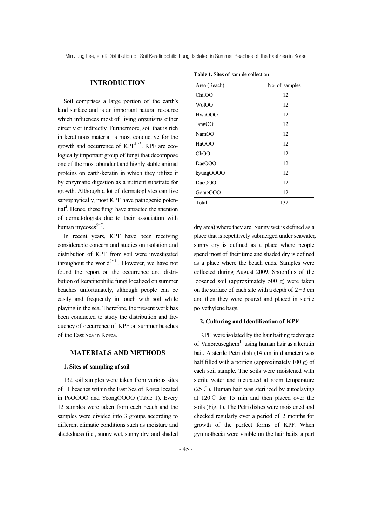Min Jung Lee, et al: Distribution of Soil Keratinophilic Fungi Isolated in Summer Beaches of the East Sea in Korea

## **INTRODUCTION**

Soil comprises a large portion of the earth's land surface and is an important natural resource which influences most of living organisms either directly or indirectly. Furthermore, soil that is rich in keratinous material is most conductive for the growth and occurrence of  $KPF^{1\sim 3}$ . KPF are ecologically important group of fungi that decompose one of the most abundant and highly stable animal proteins on earth-keratin in which they utilize it by enzymatic digestion as a nutrient substrate for growth. Although a lot of dermatophytes can live saprophytically, most KPF have pathogenic potential<sup>4</sup>. Hence, these fungi have attracted the attention of dermatologists due to their association with human mycoses $5-7$ .

In recent years, KPF have been receiving considerable concern and studies on isolation and distribution of KPF from soil were investigated throughout the world<sup>8~11</sup>. However, we have not found the report on the occurrence and distribution of keratinophilic fungi localized on summer beaches unfortunately, although people can be easily and frequently in touch with soil while playing in the sea. Therefore, the present work has been conducted to study the distribution and frequency of occurrence of KPF on summer beaches of the East Sea in Korea.

## **MATERIALS AND METHODS**

#### **1. Sites of sampling of soil**

132 soil samples were taken from various sites of 11 beaches within the East Sea of Korea located in PoOOOO and YeongOOOO (Table 1). Every 12 samples were taken from each beach and the samples were divided into 3 groups according to different climatic conditions such as moisture and shadedness (i.e., sunny wet, sunny dry, and shaded

| Area (Beach)      | No. of samples |
|-------------------|----------------|
| ChilOO            | 12             |
| WolOO             | 12             |
| HwaOOO            | 12             |
| JangOO            | 12             |
| NamOO             | 12             |
| HaOOO             | 12             |
| Oh <sub>O</sub> O | 12             |
| DaeOOO            | 12             |
| kyungOOOO         | 12             |
| DaeOOO            | 12             |
| GoraeOOO          | 12             |
| Total             | 132            |
|                   |                |

**Table 1.** Sites of sample collection

dry area) where they are. Sunny wet is defined as a place that is repetitively submerged under seawater, sunny dry is defined as a place where people spend most of their time and shaded dry is defined as a place where the beach ends. Samples were collected during August 2009. Spoonfuls of the loosened soil (approximately 500 g) were taken on the surface of each site with a depth of  $2~3$  cm and then they were poured and placed in sterile polyethylene bags.

#### **2. Culturing and Identification of KPF**

KPF were isolated by the hair baiting technique of Vanbreuseghem<sup>11</sup> using human hair as a keratin bait. A sterile Petri dish (14 cm in diameter) was half filled with a portion (approximately 100 g) of each soil sample. The soils were moistened with sterile water and incubated at room temperature (25℃). Human hair was sterilized by autoclaving at 120℃ for 15 min and then placed over the soils (Fig. 1). The Petri dishes were moistened and checked regularly over a period of 2 months for growth of the perfect forms of KPF. When gymnothecia were visible on the hair baits, a part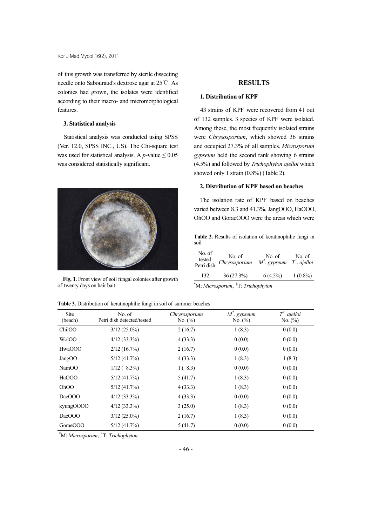of this growth was transferred by sterile dissecting needle onto Sabouraud's dextrose agar at 25℃. As colonies had grown, the isolates were identified according to their macro- and micromorphological features.

### **3. Statistical analysis**

Statistical analysis was conducted using SPSS (Ver. 12.0, SPSS INC., US). The Chi-square test was used for statistical analysis. A  $p$ -value  $\leq 0.05$ was considered statistically significant.



**Fig. 1.** Front view of soil fungal colonies after growth of twenty days on hair bait.

# **RESULTS**

### **1. Distribution of KPF**

43 strains of KPF were recovered from 41 out of 132 samples. 3 species of KPF were isolated. Among these, the most frequently isolated strains were *Chrysosporium*, which showed 36 strains and occupied 27.3% of all samples. *Microsporum gypseum* held the second rank showing 6 strains (4.5%) and followed by *Trichophyton ajelloi* which showed only 1 strain (0.8%) (Table 2).

## **2. Distribution of KPF based on beaches**

The isolation rate of KPF based on beaches varied between 8.3 and 41.3%. JangOOO, HaOOO, OhOO and GoraeOOO were the areas which were

**Table 2.** Results of isolation of keratinophilic fungi in soil

| No. of<br>tested<br>Petri dish | No. of<br>Chrysosporium | No. of<br>$M^*$ . gypseum | No. of<br>$T^{\dagger}$ . ajelloi |  |
|--------------------------------|-------------------------|---------------------------|-----------------------------------|--|
| 132                            | 36(27.3%)               | $6(4.5\%)$                | $1(0.8\%)$                        |  |
|                                |                         |                           |                                   |  |

\* M: *Microsporum*, † T: *Trichophyton*

| <b>Site</b><br>(beach) | No. of<br>Petri dish detected/tested | Chrysosporium<br>No. (%) | $M^*$ . gypseum<br>No. $(\% )$ | $T^{\dagger}$ . ajelloi<br>No. $(\% )$ |
|------------------------|--------------------------------------|--------------------------|--------------------------------|----------------------------------------|
| ChilOO                 | $3/12(25.0\%)$                       | 2(16.7)                  | 1(8.3)                         | 0(0.0)                                 |
| WolOO                  | $4/12(33.3\%)$                       | 4(33.3)                  | 0(0.0)                         | 0(0.0)                                 |
| HwaOOO                 | 2/12(16.7%)                          | 2(16.7)                  | 0(0.0)                         | 0(0.0)                                 |
| JangOO                 | 5/12(41.7%)                          | 4(33.3)                  | 1(8.3)                         | 1(8.3)                                 |
| NamOO                  | $1/12(8.3\%)$                        | 1(8.3)                   | 0(0.0)                         | 0(0.0)                                 |
| HaOOO                  | 5/12(41.7%)                          | 5(41.7)                  | 1(8.3)                         | 0(0.0)                                 |
| OhOO                   | 5/12(41.7%)                          | 4(33.3)                  | 1(8.3)                         | 0(0.0)                                 |
| DaeOOO                 | $4/12(33.3\%)$                       | 4(33.3)                  | 0(0.0)                         | 0(0.0)                                 |
| kyungOOOO              | $4/12(33.3\%)$                       | 3(25.0)                  | 1(8.3)                         | 0(0.0)                                 |
| DaeOOO                 | $3/12(25.0\%)$                       | 2(16.7)                  | 1(8.3)                         | 0(0.0)                                 |
| GoraeOOO               | 5/12(41.7%)                          | 5(41.7)                  | 0(0.0)                         | 0(0.0)                                 |

\* M: *Microsporum*, † T: *Trichophyton*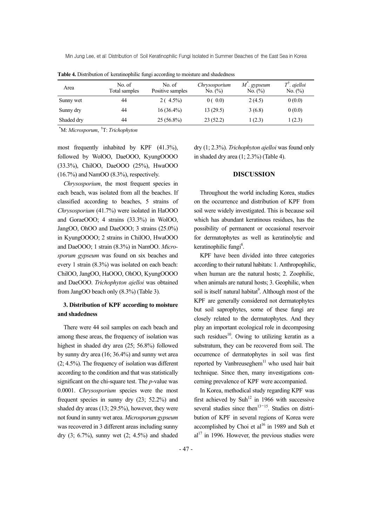Min Jung Lee, et al: Distribution of Soil Keratinophilic Fungi Isolated in Summer Beaches of the East Sea in Korea

| Area       | No. of<br>Total samples | No. of<br>Positive samples | Chrysosporium<br>No. (%) | $M^{\dagger}$ . gypseum<br>No. $(\%)$ | $T^{\dagger}$ . ajelloi<br>No. $(\%)$ |
|------------|-------------------------|----------------------------|--------------------------|---------------------------------------|---------------------------------------|
| Sunny wet  | 44                      | $2(4.5\%)$                 | 0(0.0)                   | 2(4.5)                                | 0(0.0)                                |
| Sunny dry  | 44                      | $16(36.4\%)$               | 13(29.5)                 | 3(6.8)                                | 0(0.0)                                |
| Shaded dry | 44                      | $25(56.8\%)$               | 23(52.2)                 | 1(2.3)                                | 1(2.3)                                |

**Table 4.** Distribution of keratinophilic fungi according to moisture and shadedness

\* M: *Microsporum*, † T: *Trichophyton*

most frequently inhabited by KPF (41.3%), followed by WolOO, DaeOOO, KyungOOOO (33.3%), ChilOO, DaeOOO (25%), HwaOOO (16.7%) and NamOO (8.3%), respectively.

*Chrysosporium*, the most frequent species in each beach, was isolated from all the beaches. If classified according to beaches, 5 strains of *Chrysosporium* (41.7%) were isolated in HaOOO and GoraeOOO; 4 strains (33.3%) in WolOO, JangOO, OhOO and DaeOOO; 3 strains (25.0%) in KyungOOOO; 2 strains in ChilOO, HwaOOO and DaeOOO; 1 strain (8.3%) in NamOO. *Microsporum gypseum* was found on six beaches and every 1 strain (8.3%) was isolated on each beach: ChilOO, JangOO, HaOOO, OhOO, KyungOOOO and DaeOOO. *Trichophyton ajelloi* was obtained from JangOO beach only (8.3%) (Table 3).

# **3. Distribution of KPF according to moisture and shadedness**

There were 44 soil samples on each beach and among these areas, the frequency of isolation was highest in shaded dry area (25; 56.8%) followed by sunny dry area (16; 36.4%) and sunny wet area (2; 4.5%). The frequency of isolation was different according to the condition and that was statistically significant on the chi-square test. The *p*-value was 0.0001. *Chrysosporium* species were the most frequent species in sunny dry (23; 52.2%) and shaded dry areas (13; 29.5%), however, they were not found in sunny wet area. *Microsporum gypseum* was recovered in 3 different areas including sunny dry (3; 6.7%), sunny wet (2; 4.5%) and shaded

dry (1; 2.3%). *Trichophyton ajelloi* was found only in shaded dry area (1; 2.3%) (Table 4).

# **DISCUSSION**

Throughout the world including Korea, studies on the occurrence and distribution of KPF from soil were widely investigated. This is because soil which has abundant keratinous residues, has the possibility of permanent or occasional reservoir for dermatophytes as well as keratinolytic and keratinophilic fungi<sup>8</sup>.

KPF have been divided into three categories according to their natural habitats: 1. Anthropophilic, when human are the natural hosts; 2. Zoophilic, when animals are natural hosts; 3. Geophilic, when soil is itself natural habitat<sup>9</sup>. Although most of the KPF are generally considered not dermatophytes but soil saprophytes, some of these fungi are closely related to the dermatophytes. And they play an important ecological role in decomposing such residues<sup>10</sup>. Owing to utilizing keratin as a substratum, they can be recovered from soil. The occurrence of dermatophytes in soil was first reported by Vanbreuseghem<sup>11</sup> who used hair bait technique. Since then, many investigations concerning prevalence of KPF were accompanied.

In Korea, methodical study regarding KPF was first achieved by Suh<sup>12</sup> in 1966 with successive several studies since then<sup>13~15</sup>. Studies on distribution of KPF in several regions of Korea were accomplished by Choi et  $al^{16}$  in 1989 and Suh et  $al<sup>17</sup>$  in 1996. However, the previous studies were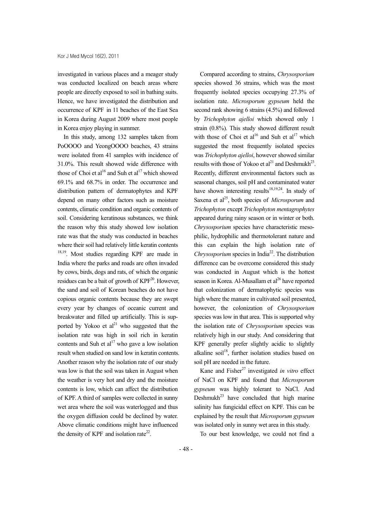investigated in various places and a meager study was conducted localized on beach areas where people are directly exposed to soil in bathing suits. Hence, we have investigated the distribution and occurrence of KPF in 11 beaches of the East Sea in Korea during August 2009 where most people in Korea enjoy playing in summer.

In this study, among 132 samples taken from PoOOOO and YeongOOOO beaches, 43 strains were isolated from 41 samples with incidence of 31.0%. This result showed wide difference with those of Choi et al<sup>16</sup> and Suh et al<sup>17</sup> which showed 69.1% and 68.7% in order. The occurrence and distribution pattern of dermatophytes and KPF depend on many other factors such as moisture contents, climatic condition and organic contents of soil. Considering keratinous substances, we think the reason why this study showed low isolation rate was that the study was conducted in beaches where their soil had relatively little keratin contents <sup>18,19</sup>. Most studies regarding KPF are made in India where the parks and roads are often invaded by cows, birds, dogs and rats, of which the organic residues can be a bait of growth of  $KPF<sup>20</sup>$ . However, the sand and soil of Korean beaches do not have copious organic contents because they are swept every year by changes of oceanic current and breakwater and filled up artificially. This is supported by Yokoo et  $al^{21}$  who suggested that the isolation rate was high in soil rich in keratin contents and Suh et  $al<sup>17</sup>$  who gave a low isolation result when studied on sand low in keratin contents. Another reason why the isolation rate of our study was low is that the soil was taken in August when the weather is very hot and dry and the moisture contents is low, which can affect the distribution of KPF. A third of samples were collected in sunny wet area where the soil was waterlogged and thus the oxygen diffusion could be declined by water. Above climatic conditions might have influenced the density of KPF and isolation rate<sup>22</sup>.

Compared according to strains, *Chrysosporium* species showed 36 strains, which was the most frequently isolated species occupying 27.3% of isolation rate. *Microsporum gypseum* held the second rank showing 6 strains (4.5%) and followed by *Trichophyton ajelloi* which showed only 1 strain (0.8%). This study showed different result with those of Choi et al<sup>16</sup> and Suh et al<sup>17</sup> which suggested the most frequently isolated species was *Trichophyton ajelloi*, however showed similar results with those of Yokoo et  $al<sup>21</sup>$  and Deshmukh<sup>23</sup>. Recently, different environmental factors such as seasonal changes, soil pH and contaminated water have shown interesting results<sup>18,19,24</sup>. In study of Saxena et al<sup>25</sup>, both species of *Microsporum* and *Trichophyton* except *Trichophyton mentagrophytes* appeared during rainy season or in winter or both. *Chrysosporium* species have characteristic mesophilic, hydrophilic and thermotolerant nature and this can explain the high isolation rate of *Chrysosporium* species in India<sup>22</sup>. The distribution difference can be overcome considered this study was conducted in August which is the hottest season in Korea. Al-Musallam et  $al^{26}$  have reported that colonization of dermatophytic species was high where the manure in cultivated soil presented, however, the colonization of *Chrysosporium* species was low in that area. This is supported why the isolation rate of *Chrysosporium* species was relatively high in our study. And considering that KPF generally prefer slightly acidic to slightly alkaline soil<sup>18</sup>, further isolation studies based on soil pH are needed in the future.

Kane and Fisher<sup>27</sup> investigated *in vitro* effect of NaCl on KPF and found that *Microsporum gypseum* was highly tolerant to NaCl. And Deshmukh<sup>23</sup> have concluded that high marine salinity has fungicidal effect on KPF. This can be explained by the result that *Microsporum gypseum* was isolated only in sunny wet area in this study.

To our best knowledge, we could not find a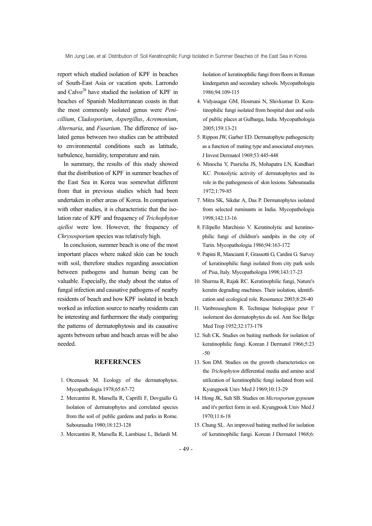report which studied isolation of KPF in beaches of South-East Asia or vacation spots. Larrondo and Calvo<sup>28</sup> have studied the isolation of KPF in beaches of Spanish Mediterranean coasts in that the most commonly isolated genus were *Penicillium*, *Cladosporium*, *Aspergillus*, *Acremonium*, *Alternaria*, and *Fusarium*. The difference of isolated genus between two studies can be attributed to environmental conditions such as latitude, turbulence, humidity, temperature and rain.

In summary, the results of this study showed that the distribution of KPF in summer beaches of the East Sea in Korea was somewhat different from that in previous studies which had been undertaken in other areas of Korea. In comparison with other studies, it is characteristic that the isolation rate of KPF and frequency of *Trichophyton ajelloi* were low. However, the frequency of *Chrysosporium* species was relatively high.

In conclusion, summer beach is one of the most important places where naked skin can be touch with soil, therefore studies regarding association between pathogens and human being can be valuable. Especially, the study about the status of fungal infection and causative pathogens of nearby residents of beach and how KPF isolated in beach worked as infection source to nearby residents can be interesting and furthermore the study comparing the patterns of dermatophytosis and its causative agents between urban and beach areas will be also needed.

### **REFERENCES**

- 1. Otcenasek M. Ecology of the dermatophytes. Mycopathologia 1978;65:67-72
- 2. Mercantini R, Marsella R, Caprilli F, Dovgiallo G. Isolation of dermatophytes and correlated species from the soil of public gardens and parks in Rome. Sabouraudia 1980;18:123-128
- 3. Mercantini R, Marsella R, Lambiase L, Belardi M.

Isolation of keratinophilic fungi from floors in Roman kindergarten and secondary schools. Mycopathologia 1986;94:109-115

- 4. Vidyasagar GM, Hosmani N, Shivkumar D. Keratinophilic fungi isolated from hospital dust and soils of public places at Gulbarga, India. Mycopathologia 2005;159:13-21
- 5. Rippon JW, Garber ED. Dermatophyte pathogenicity as a function of mating type and associated enzymes. J Invest Dermatol 1969;53:445-448
- 6. Minocha Y, Pasricha JS, Mohapatra LN, Kandhari KC. Proteolytic activity of dermatophytes and its role in the pathogenesis of skin lesions. Sabouraudia 1972;1:79-85
- 7. Mitra SK, Sikdar A, Das P. Dermatophytes isolated from selected ruminants in India. Mycopathologia 1998;142:13-16
- 8. Filipello Marchisio V. Keratinolytic and keratinophilic fungi of children's sandpits in the city of Turin. Mycopathologia 1986;94:163-172
- 9. Papini R, Mancianti F, Grassotti G, Cardini G. Survey of keratinophilic fungi isolated from city park soils of Pisa, Italy. Mycopathologia 1998;143:17-23
- 10. Sharma R, Rajak RC. Keratinophilic fungi, Nature's keratin degrading machines. Their isolation, identification and ecological role. Resonance 2003;8:28-40
- 11. Vanbreuseghem R. Technique biologique pour 1' isolement des dermatophytes du sol. Ann Soc Belge Med Trop 1952;32:173-178
- 12. Suh CK. Studies on baiting methods for isolation of keratinophilic fungi. Korean J Dermatol 1966;5:23 -50
- 13. Son DM. Studies on the growth characteristics on the *Trichophyton* differential media and amino acid utilization of keratinophilic fungi isolated from soil. Kyungpook Univ Med J 1969;10:13-29
- 14. Hong JK, Suh SB. Studies on *Microsporum gypseum* and it's perfect form in soil. Kyungpook Univ Med J 1970;11:6-18
- 15. Chung SL. An improved baiting method for isolation of keratinophilic fungi. Korean J Dermatol 1968;6: